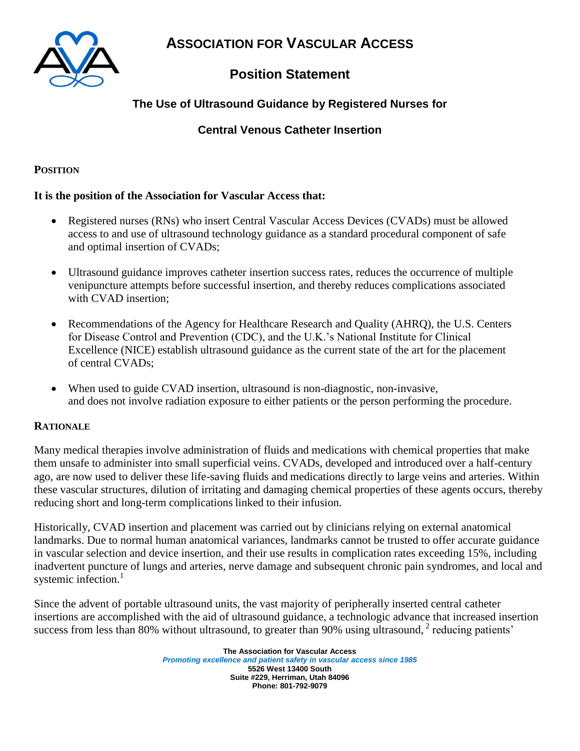

**ASSOCIATION FOR VASCULAR ACCESS**

# **Position Statement**

## **The Use of Ultrasound Guidance by Registered Nurses for**

### **Central Venous Catheter Insertion**

### **POSITION**

#### **It is the position of the Association for Vascular Access that:**

- Registered nurses (RNs) who insert Central Vascular Access Devices (CVADs) must be allowed access to and use of ultrasound technology guidance as a standard procedural component of safe and optimal insertion of CVADs;
- Ultrasound guidance improves catheter insertion success rates, reduces the occurrence of multiple venipuncture attempts before successful insertion, and thereby reduces complications associated with CVAD insertion;
- Recommendations of the Agency for Healthcare Research and Quality (AHRQ), the U.S. Centers for Disease Control and Prevention (CDC), and the U.K.'s National Institute for Clinical Excellence (NICE) establish ultrasound guidance as the current state of the art for the placement of central CVADs;
- When used to guide CVAD insertion, ultrasound is non-diagnostic, non-invasive, and does not involve radiation exposure to either patients or the person performing the procedure.

#### **RATIONALE**

Many medical therapies involve administration of fluids and medications with chemical properties that make them unsafe to administer into small superficial veins. CVADs, developed and introduced over a half-century ago, are now used to deliver these life-saving fluids and medications directly to large veins and arteries. Within these vascular structures, dilution of irritating and damaging chemical properties of these agents occurs, thereby reducing short and long-term complications linked to their infusion.

Historically, CVAD insertion and placement was carried out by clinicians relying on external anatomical landmarks. Due to normal human anatomical variances, landmarks cannot be trusted to offer accurate guidance in vascular selection and device insertion, and their use results in complication rates exceeding 15%, including inadvertent puncture of lungs and arteries, nerve damage and subsequent chronic pain syndromes, and local and systemic infection.<sup>1</sup>

Since the advent of portable ultrasound units, the vast majority of peripherally inserted central catheter insertions are accomplished with the aid of ultrasound guidance, a technologic advance that increased insertion success from less than 80% without ultrasound, to greater than 90% using ultrasound, <sup>2</sup> reducing patients'

> **The Association for Vascular Access** *Promoting excellence and patient safety in vascular access since 1985* **5526 West 13400 South Suite #229, Herriman, Utah 84096 Phone: 801-792-9079**